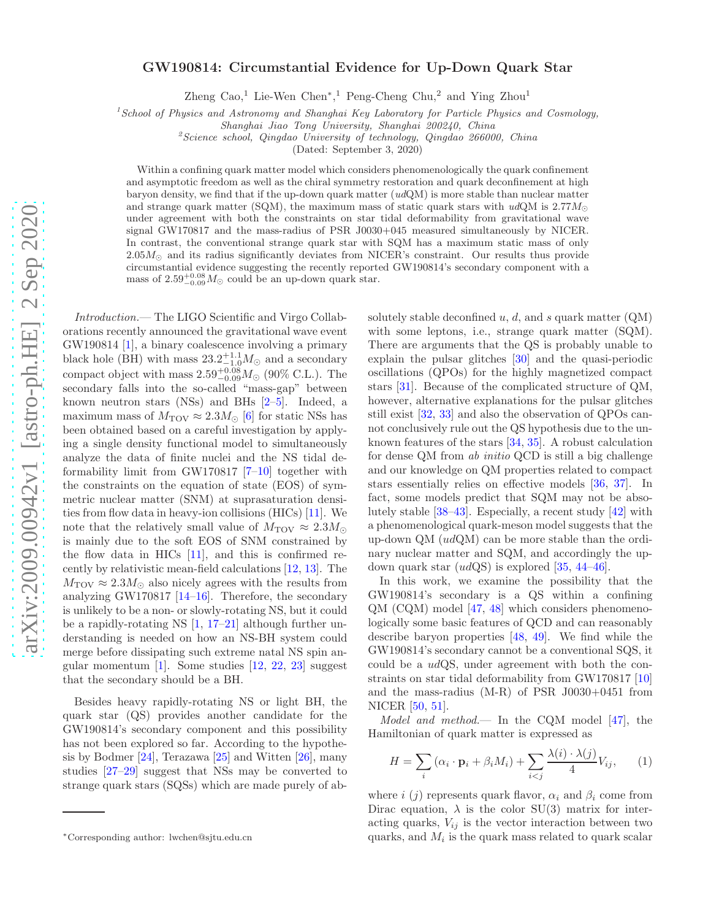## GW190814: Circumstantial Evidence for Up-Down Quark Star

Zheng Cao,<sup>1</sup> Lie-Wen Chen<sup>∗</sup>,<sup>1</sup> Peng-Cheng Chu,<sup>2</sup> and Ying Zhou<sup>1</sup>

<sup>1</sup> School of Physics and Astronomy and Shanghai Key Laboratory for Particle Physics and Cosmology,

Shanghai Jiao Tong University, Shanghai 200240, China

 $z^2$ Science school, Qingdao University of technology, Qingdao 266000, China

(Dated: September 3, 2020)

Within a confining quark matter model which considers phenomenologically the quark confinement and asymptotic freedom as well as the chiral symmetry restoration and quark deconfinement at high baryon density, we find that if the up-down quark matter  $(ud\mathbf{Q}\mathbf{M})$  is more stable than nuclear matter and strange quark matter (SQM), the maximum mass of static quark stars with  $udQM$  is 2.77 $M_{\odot}$ under agreement with both the constraints on star tidal deformability from gravitational wave signal GW170817 and the mass-radius of PSR J0030+045 measured simultaneously by NICER. In contrast, the conventional strange quark star with SQM has a maximum static mass of only  $2.05M<sub>o</sub>$  and its radius significantly deviates from NICER's constraint. Our results thus provide circumstantial evidence suggesting the recently reported GW190814's secondary component with a mass of  $2.59^{+0.08}_{-0.09} M_{\odot}$  could be an up-down quark star.

Introduction.— The LIGO Scientific and Virgo Collaborations recently announced the gravitational wave event GW190814 [\[1](#page-3-0)], a binary coalescence involving a primary black hole (BH) with mass  $23.2^{+1.1}_{-1.0}M_{\odot}$  and a secondary compact object with mass  $2.59^{+0.08}_{-0.09} M_{\odot}$  (90% C.L.). The secondary falls into the so-called "mass-gap" between known neutron stars (NSs) and BHs [\[2](#page-3-1)[–5\]](#page-3-2). Indeed, a maximum mass of  $M_{\rm TOV} \approx 2.3 M_{\odot}$  [\[6\]](#page-3-3) for static NSs has been obtained based on a careful investigation by applying a single density functional model to simultaneously analyze the data of finite nuclei and the NS tidal deformability limit from GW170817 [\[7](#page-3-4)[–10\]](#page-3-5) together with the constraints on the equation of state (EOS) of symmetric nuclear matter (SNM) at suprasaturation densities from flow data in heavy-ion collisions (HICs) [\[11\]](#page-3-6). We note that the relatively small value of  $M_{\rm TOV} \approx 2.3 M_{\odot}$ is mainly due to the soft EOS of SNM constrained by the flow data in HICs  $[11]$ , and this is confirmed recently by relativistic mean-field calculations [\[12](#page-4-0), [13](#page-4-1)]. The  $M_{\rm TOV} \approx 2.3 M_{\odot}$  also nicely agrees with the results from analyzing GW170817 [\[14](#page-4-2)[–16\]](#page-4-3). Therefore, the secondary is unlikely to be a non- or slowly-rotating NS, but it could be a rapidly-rotating NS [\[1](#page-3-0), [17](#page-4-4)[–21\]](#page-4-5) although further understanding is needed on how an NS-BH system could merge before dissipating such extreme natal NS spin angular momentum  $[1]$ . Some studies  $[12, 22, 23]$  $[12, 22, 23]$  $[12, 22, 23]$  $[12, 22, 23]$  suggest that the secondary should be a BH.

Besides heavy rapidly-rotating NS or light BH, the quark star (QS) provides another candidate for the GW190814's secondary component and this possibility has not been explored so far. According to the hypothesis by Bodmer [\[24](#page-4-8)], Terazawa [\[25\]](#page-4-9) and Witten [\[26\]](#page-4-10), many studies [\[27](#page-4-11)[–29\]](#page-4-12) suggest that NSs may be converted to strange quark stars (SQSs) which are made purely of absolutely stable deconfined u, d, and s quark matter  $(QM)$ with some leptons, i.e., strange quark matter (SQM). There are arguments that the QS is probably unable to explain the pulsar glitches [\[30\]](#page-4-13) and the quasi-periodic oscillations (QPOs) for the highly magnetized compact stars [\[31](#page-4-14)]. Because of the complicated structure of QM, however, alternative explanations for the pulsar glitches still exist [\[32,](#page-4-15) [33\]](#page-4-16) and also the observation of QPOs cannot conclusively rule out the QS hypothesis due to the unknown features of the stars [\[34,](#page-4-17) [35](#page-4-18)]. A robust calculation for dense QM from ab initio QCD is still a big challenge and our knowledge on QM properties related to compact stars essentially relies on effective models [\[36](#page-4-19), [37\]](#page-4-20). In fact, some models predict that SQM may not be absolutely stable [\[38](#page-4-21)[–43\]](#page-4-22). Especially, a recent study [\[42\]](#page-4-23) with a phenomenological quark-meson model suggests that the up-down QM (udQM) can be more stable than the ordinary nuclear matter and SQM, and accordingly the updown quark star (udQS) is explored [\[35,](#page-4-18) [44](#page-4-24)[–46\]](#page-4-25).

In this work, we examine the possibility that the GW190814's secondary is a QS within a confining QM (CQM) model [\[47](#page-4-26), [48\]](#page-4-27) which considers phenomenologically some basic features of QCD and can reasonably describe baryon properties [\[48,](#page-4-27) [49\]](#page-4-28). We find while the GW190814's secondary cannot be a conventional SQS, it could be a udQS, under agreement with both the constraints on star tidal deformability from GW170817 [\[10](#page-3-5)] and the mass-radius (M-R) of PSR J0030+0451 from NICER [\[50,](#page-4-29) [51\]](#page-4-30).

Model and method.— In the CQM model [\[47\]](#page-4-26), the Hamiltonian of quark matter is expressed as

$$
H = \sum_{i} (\alpha_i \cdot \mathbf{p}_i + \beta_i M_i) + \sum_{i < j} \frac{\lambda(i) \cdot \lambda(j)}{4} V_{ij},\qquad(1)
$$

where i (j) represents quark flavor,  $\alpha_i$  and  $\beta_i$  come from Dirac equation,  $\lambda$  is the color SU(3) matrix for interacting quarks,  $V_{ij}$  is the vector interaction between two quarks, and  $M_i$  is the quark mass related to quark scalar

<sup>∗</sup>Corresponding author: lwchen@sjtu.edu.cn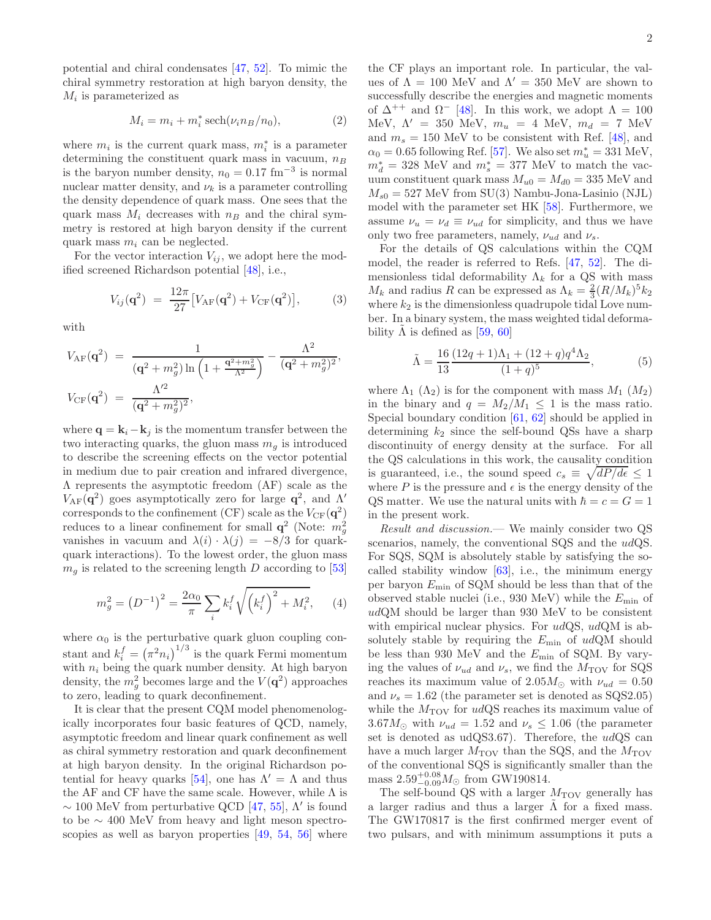potential and chiral condensates [\[47](#page-4-26), [52\]](#page-4-31). To mimic the chiral symmetry restoration at high baryon density, the  $M_i$  is parameterized as

$$
M_i = m_i + m_i^* \operatorname{sech}(\nu_i n_B/n_0),\tag{2}
$$

where  $m_i$  is the current quark mass,  $m_i^*$  is a parameter determining the constituent quark mass in vacuum,  $n_B$ is the baryon number density,  $n_0 = 0.17$  fm<sup>-3</sup> is normal nuclear matter density, and  $\nu_k$  is a parameter controlling the density dependence of quark mass. One sees that the quark mass  $M_i$  decreases with  $n_B$  and the chiral symmetry is restored at high baryon density if the current quark mass  $m_i$  can be neglected.

For the vector interaction  $V_{ij}$ , we adopt here the modified screened Richardson potential [\[48](#page-4-27)], i.e.,

$$
V_{ij}(\mathbf{q}^2) = \frac{12\pi}{27} [V_{\rm AF}(\mathbf{q}^2) + V_{\rm CF}(\mathbf{q}^2)],\tag{3}
$$

with

$$
V_{\rm AF}(\mathbf{q}^2) = \frac{1}{(\mathbf{q}^2 + m_g^2) \ln\left(1 + \frac{\mathbf{q}^2 + m_g^2}{\Lambda^2}\right)} - \frac{\Lambda^2}{(\mathbf{q}^2 + m_g^2)^2},
$$
  

$$
V_{\rm CF}(\mathbf{q}^2) = \frac{\Lambda'^2}{(\mathbf{q}^2 + m_g^2)^2},
$$

where  $\mathbf{q} = \mathbf{k}_i - \mathbf{k}_j$  is the momentum transfer between the two interacting quarks, the gluon mass  $m_q$  is introduced to describe the screening effects on the vector potential in medium due to pair creation and infrared divergence, Λ represents the asymptotic freedom (AF) scale as the V<sub>AF</sub>( $\mathbf{q}^2$ ) goes asymptotically zero for large  $\mathbf{q}^2$ , and  $\Lambda'$ corresponds to the confinement (CF) scale as the  $V_{CF}(\mathbf{q}^2)$ reduces to a linear confinement for small  $q^2$  (Note:  $m_g^2$ vanishes in vacuum and  $\lambda(i) \cdot \lambda(j) = -8/3$  for quarkquark interactions). To the lowest order, the gluon mass  $m<sub>g</sub>$  is related to the screening length D according to [\[53](#page-4-32)]

$$
m_g^2 = (D^{-1})^2 = \frac{2\alpha_0}{\pi} \sum_i k_i^f \sqrt{\left(k_i^f\right)^2 + M_i^2}, \qquad (4)
$$

where  $\alpha_0$  is the perturbative quark gluon coupling constant and  $k_i^f = (\pi^2 n_i)^{1/3}$  is the quark Fermi momentum with  $n_i$  being the quark number density. At high baryon density, the  $m_g^2$  becomes large and the  $V(\mathbf{q}^2)$  approaches to zero, leading to quark deconfinement.

It is clear that the present CQM model phenomenologically incorporates four basic features of QCD, namely, asymptotic freedom and linear quark confinement as well as chiral symmetry restoration and quark deconfinement at high baryon density. In the original Richardson po-tential for heavy quarks [\[54\]](#page-4-33), one has  $\Lambda' = \Lambda$  and thus the AF and CF have the same scale. However, while  $\Lambda$  is  $\sim$  100 MeV from perturbative QCD [\[47,](#page-4-26) [55\]](#page-4-34),  $\Lambda'$  is found to be ∼ 400 MeV from heavy and light meson spectroscopies as well as baryon properties [\[49,](#page-4-28) [54](#page-4-33), [56](#page-4-35)] where

the CF plays an important role. In particular, the values of  $\Lambda = 100$  MeV and  $\Lambda' = 350$  MeV are shown to successfully describe the energies and magnetic moments of  $\Delta^{++}$  and  $\Omega^{-}$  [\[48](#page-4-27)]. In this work, we adopt  $\Lambda = 100$ MeV,  $\Lambda' = 350$  MeV,  $m_u = 4$  MeV,  $m_d = 7$  MeV and  $m_s = 150$  MeV to be consistent with Ref. [\[48\]](#page-4-27), and  $\alpha_0 = 0.65$  following Ref. [\[57\]](#page-4-36). We also set  $m_u^* = 331$  MeV,  $m_d^* = 328$  MeV and  $m_s^* = 377$  MeV to match the vacuum constituent quark mass  $M_{u0} = M_{d0} = 335$  MeV and  $M_{s0} = 527$  MeV from SU(3) Nambu-Jona-Lasinio (NJL) model with the parameter set HK [\[58](#page-4-37)]. Furthermore, we assume  $\nu_u = \nu_d \equiv \nu_{ud}$  for simplicity, and thus we have only two free parameters, namely,  $\nu_{ud}$  and  $\nu_s$ .

For the details of QS calculations within the CQM model, the reader is referred to Refs. [\[47,](#page-4-26) [52\]](#page-4-31). The dimensionless tidal deformability  $\Lambda_k$  for a QS with mass  $M_k$  and radius R can be expressed as  $\Lambda_k = \frac{2}{3}(R/M_k)^5 k_2$ where  $k_2$  is the dimensionless quadrupole tidal Love number. In a binary system, the mass weighted tidal deformability  $\Lambda$  is defined as [[59,](#page-4-38) [60\]](#page-4-39)

$$
\tilde{\Lambda} = \frac{16}{13} \frac{(12q+1)\Lambda_1 + (12+q)q^4\Lambda_2}{(1+q)^5},
$$
\n(5)

where  $\Lambda_1$  ( $\Lambda_2$ ) is for the component with mass  $M_1$  ( $M_2$ ) in the binary and  $q = M_2/M_1 \leq 1$  is the mass ratio. Special boundary condition [\[61](#page-4-40), [62](#page-4-41)] should be applied in determining  $k_2$  since the self-bound QSs have a sharp discontinuity of energy density at the surface. For all the QS calculations in this work, the causality condition is guaranteed, i.e., the sound speed  $c_s \equiv \sqrt{dP/d\epsilon} \leq 1$ where P is the pressure and  $\epsilon$  is the energy density of the QS matter. We use the natural units with  $\hbar = c = G = 1$ in the present work.

Result and discussion.— We mainly consider two QS scenarios, namely, the conventional SQS and the udQS. For SQS, SQM is absolutely stable by satisfying the socalled stability window [\[63\]](#page-4-42), i.e., the minimum energy per baryon  $E_{\text{min}}$  of SQM should be less than that of the observed stable nuclei (i.e., 930 MeV) while the  $E_{\text{min}}$  of udQM should be larger than 930 MeV to be consistent with empirical nuclear physics. For  $udQS$ ,  $udQM$  is absolutely stable by requiring the  $E_{\text{min}}$  of  $udQM$  should be less than 930 MeV and the  $E_{\text{min}}$  of SQM. By varying the values of  $\nu_{ud}$  and  $\nu_s$ , we find the  $M_{\rm TOV}$  for SQS reaches its maximum value of 2.05 $M_{\odot}$  with  $\nu_{ud} = 0.50$ and  $\nu_s = 1.62$  (the parameter set is denoted as SQS2.05) while the  $M_{\rm TOV}$  for udQS reaches its maximum value of  $3.67M_{\odot}$  with  $\nu_{ud} = 1.52$  and  $\nu_s \leq 1.06$  (the parameter set is denoted as  $udQS3.67$ . Therefore, the  $udQS$  can have a much larger  $M_{\text{TOV}}$  than the SQS, and the  $M_{\text{TOV}}$ of the conventional SQS is significantly smaller than the mass  $2.59_{-0.09}^{+0.08} M_{\odot}$  from GW190814.

The self-bound QS with a larger  $M_{\rm TOV}$  generally has a larger radius and thus a larger  $\tilde{\Lambda}$  for a fixed mass. The GW170817 is the first confirmed merger event of two pulsars, and with minimum assumptions it puts a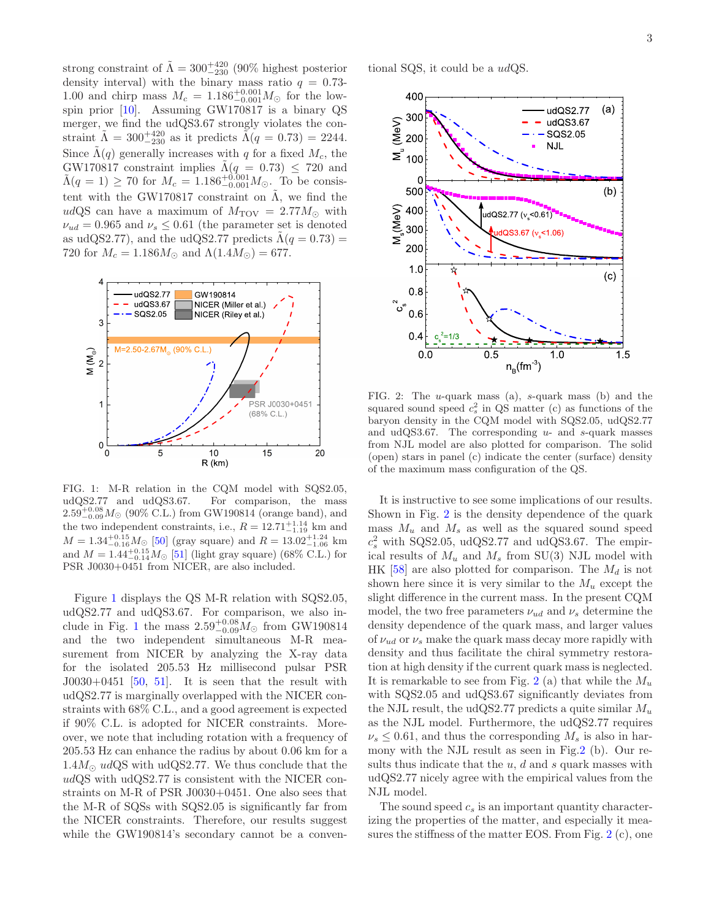strong constraint of  $\tilde{\Lambda} = 300^{+420}_{-230}$  (90% highest posterior density interval) with the binary mass ratio  $q = 0.73$ -1.00 and chirp mass  $M_c = 1.186^{+0.001}_{-0.001} M_{\odot}$  for the lowspin prior [\[10\]](#page-3-5). Assuming GW170817 is a binary QS merger, we find the udQS3.67 strongly violates the constraint  $\tilde{\Lambda} = 300^{+420}_{-230}$  as it predicts  $\tilde{\Lambda}(q = 0.73) = 2244$ . Since  $\tilde{\Lambda}(q)$  generally increases with q for a fixed  $M_c$ , the GW170817 constraint implies  $\tilde{\Lambda}(q = 0.73) \leq 720$  and  $\tilde{\Lambda}(q=1) \geq 70$  for  $M_c = 1.186^{+0.001}_{-0.001} M_{\odot}$ . To be consistent with the GW170817 constraint on  $\tilde{\Lambda}$ , we find the udQS can have a maximum of  $M_{\text{TOV}} = 2.77 M_{\odot}$  with  $\nu_{ud} = 0.965$  and  $\nu_s \leq 0.61$  (the parameter set is denoted as udQS2.77), and the udQS2.77 predicts  $\Lambda(q = 0.73) =$ 720 for  $M_c = 1.186 M_{\odot}$  and  $\Lambda(1.4 M_{\odot}) = 677$ .



<span id="page-2-0"></span>FIG. 1: M-R relation in the CQM model with SQS2.05, udQS2.77 and udQS3.67. For comparison, the mass  $2.59_{-0.09}^{+0.08} M_{\odot}$  (90% C.L.) from GW190814 (orange band), and the two independent constraints, i.e.,  $R = 12.71_{-1.19}^{+1.14}$  km and  $M = 1.34_{-0.16}^{+0.15} M_{\odot}$  [\[50](#page-4-29)] (gray square) and  $R = 13.02_{-1.06}^{+1.24}$  km and  $M = 1.44_{-0.14}^{+0.15} M_{\odot}$  [\[51](#page-4-30)] (light gray square) (68% C.L.) for PSR J0030+0451 from NICER, are also included.

Figure [1](#page-2-0) displays the QS M-R relation with SQS2.05, udQS2.77 and udQS3.67. For comparison, we also in-clude in Fig. [1](#page-2-0) the mass  $2.59_{-0.09}^{+0.08} M_{\odot}$  from GW190814 and the two independent simultaneous M-R measurement from NICER by analyzing the X-ray data for the isolated 205.53 Hz millisecond pulsar PSR  $J0030+0451$  [\[50,](#page-4-29) [51\]](#page-4-30). It is seen that the result with udQS2.77 is marginally overlapped with the NICER constraints with 68% C.L., and a good agreement is expected if 90% C.L. is adopted for NICER constraints. Moreover, we note that including rotation with a frequency of 205.53 Hz can enhance the radius by about 0.06 km for a  $1.4M_{\odot}$  udQS with udQS2.77. We thus conclude that the udQS with udQS2.77 is consistent with the NICER constraints on M-R of PSR J0030+0451. One also sees that the M-R of SQSs with SQS2.05 is significantly far from the NICER constraints. Therefore, our results suggest while the GW190814's secondary cannot be a conventional SQS, it could be a udQS.



<span id="page-2-1"></span>FIG. 2: The u-quark mass (a), s-quark mass (b) and the squared sound speed  $c_s^2$  in QS matter (c) as functions of the baryon density in the CQM model with SQS2.05, udQS2.77 and udQS3.67. The corresponding  $u$ - and  $s$ -quark masses from NJL model are also plotted for comparison. The solid (open) stars in panel (c) indicate the center (surface) density of the maximum mass configuration of the QS.

It is instructive to see some implications of our results. Shown in Fig. [2](#page-2-1) is the density dependence of the quark mass  $M_u$  and  $M_s$  as well as the squared sound speed  $c_s^2$  with SQS2.05, udQS2.77 and udQS3.67. The empirical results of  $M_u$  and  $M_s$  from SU(3) NJL model with HK [\[58\]](#page-4-37) are also plotted for comparison. The  $M_d$  is not shown here since it is very similar to the  $M_u$  except the slight difference in the current mass. In the present CQM model, the two free parameters  $\nu_{ud}$  and  $\nu_s$  determine the density dependence of the quark mass, and larger values of  $\nu_{ud}$  or  $\nu_s$  make the quark mass decay more rapidly with density and thus facilitate the chiral symmetry restoration at high density if the current quark mass is neglected. It is remarkable to see from Fig. [2](#page-2-1) (a) that while the  $M_u$ with SQS2.05 and udQS3.67 significantly deviates from the NJL result, the udQS2.77 predicts a quite similar  $M_u$ as the NJL model. Furthermore, the udQS2.77 requires  $\nu_s \leq 0.61$ , and thus the corresponding  $M_s$  is also in harmony with the NJL result as seen in Fig[.2](#page-2-1) (b). Our results thus indicate that the  $u, d$  and  $s$  quark masses with udQS2.77 nicely agree with the empirical values from the NJL model.

The sound speed  $c_s$  is an important quantity characterizing the properties of the matter, and especially it measures the stiffness of the matter EOS. From Fig. [2](#page-2-1) (c), one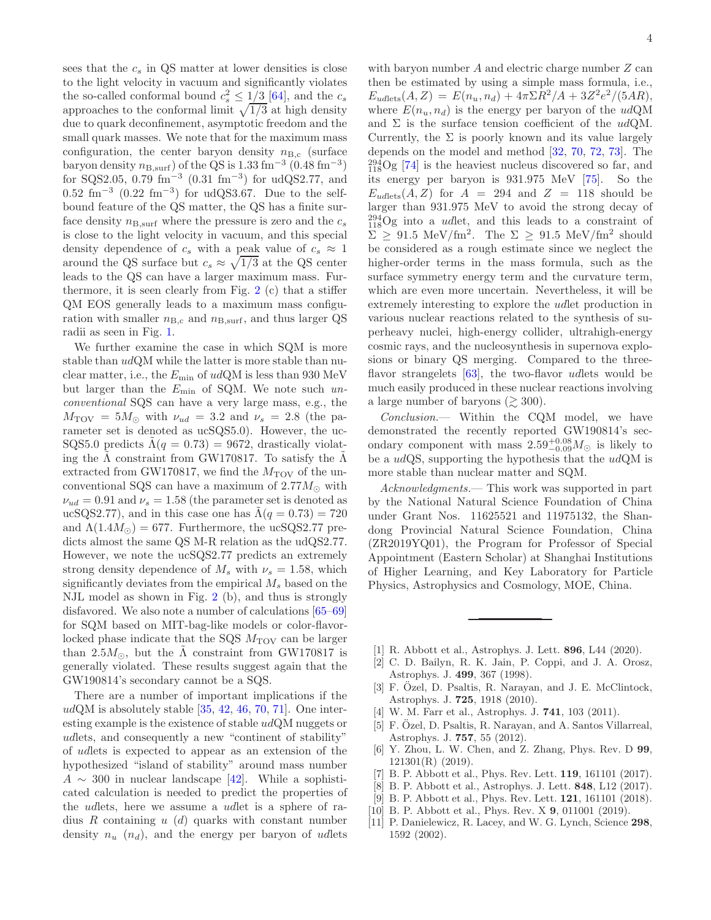sees that the  $c_s$  in QS matter at lower densities is close to the light velocity in vacuum and significantly violates the so-called conformal bound  $c_s^2 \leq 1/3$  [\[64](#page-4-43)], and the  $c_s$ approaches to the conformal limit  $\sqrt{1/3}$  at high density due to quark deconfinement, asymptotic freedom and the small quark masses. We note that for the maximum mass configuration, the center baryon density  $n_{\text{B,c}}$  (surface baryon density  $n_{\text{B,surf}}$ ) of the QS is 1.33 fm<sup>-3</sup> (0.48 fm<sup>-3</sup>) for SQS2.05, 0.79 fm<sup>-3</sup>  $(0.31 \text{ fm}^{-3})$  for udQS2.77, and  $0.52 \text{ fm}^{-3}$  (0.22 fm<sup>-3</sup>) for udQS3.67. Due to the selfbound feature of the QS matter, the QS has a finite surface density  $n_{\text{B,surf}}$  where the pressure is zero and the  $c_s$ is close to the light velocity in vacuum, and this special density dependence of  $c_s$  with a peak value of  $c_s \approx 1$ around the QS surface but  $c_s \approx \sqrt{1/3}$  at the QS center leads to the QS can have a larger maximum mass. Furthermore, it is seen clearly from Fig. [2](#page-2-1) (c) that a stiffer QM EOS generally leads to a maximum mass configuration with smaller  $n_{\text{B,c}}$  and  $n_{\text{B,surf}}$ , and thus larger QS radii as seen in Fig. [1.](#page-2-0)

We further examine the case in which SQM is more stable than udQM while the latter is more stable than nuclear matter, i.e., the  $E_{\text{min}}$  of udQM is less than 930 MeV but larger than the  $E_{\text{min}}$  of SQM. We note such unconventional SQS can have a very large mass, e.g., the  $M_{\text{TOV}} = 5M_{\odot}$  with  $\nu_{ud} = 3.2$  and  $\nu_s = 2.8$  (the parameter set is denoted as ucSQS5.0). However, the uc-SQS5.0 predicts  $\Lambda(q = 0.73) = 9672$ , drastically violating the  $\Lambda$  constraint from GW170817. To satisfy the  $\Lambda$ extracted from GW170817, we find the  $M_{\rm TOV}$  of the unconventional SQS can have a maximum of  $2.77M_{\odot}$  with  $\nu_{ud} = 0.91$  and  $\nu_s = 1.58$  (the parameter set is denoted as ucSQS2.77), and in this case one has  $\Lambda(q = 0.73) = 720$ and  $\Lambda(1.4M_{\odot}) = 677$ . Furthermore, the ucSQS2.77 predicts almost the same QS M-R relation as the udQS2.77. However, we note the ucSQS2.77 predicts an extremely strong density dependence of  $M_s$  with  $\nu_s = 1.58$ , which significantly deviates from the empirical  $M_s$  based on the NJL model as shown in Fig. [2](#page-2-1) (b), and thus is strongly disfavored. We also note a number of calculations [\[65](#page-4-44)[–69\]](#page-4-45) for SQM based on MIT-bag-like models or color-flavorlocked phase indicate that the SQS  $M_{\text{TOV}}$  can be larger than 2.5 $M_{\odot}$ , but the  $\Lambda$  constraint from GW170817 is generally violated. These results suggest again that the GW190814's secondary cannot be a SQS.

There are a number of important implications if the  $udQM$  is absolutely stable  $[35, 42, 46, 70, 71]$  $[35, 42, 46, 70, 71]$  $[35, 42, 46, 70, 71]$  $[35, 42, 46, 70, 71]$  $[35, 42, 46, 70, 71]$  $[35, 42, 46, 70, 71]$  $[35, 42, 46, 70, 71]$  $[35, 42, 46, 70, 71]$  $[35, 42, 46, 70, 71]$ . One interesting example is the existence of stable udQM nuggets or udlets, and consequently a new "continent of stability" of udlets is expected to appear as an extension of the hypothesized "island of stability" around mass number  $A \sim 300$  in nuclear landscape [\[42](#page-4-23)]. While a sophisticated calculation is needed to predict the properties of the udlets, here we assume a udlet is a sphere of radius  $R$  containing  $u$  (d) quarks with constant number density  $n_u$   $(n_d)$ , and the energy per baryon of udlets

with baryon number  $A$  and electric charge number  $Z$  can then be estimated by using a simple mass formula, i.e.,  $E_{udlets}(A, Z) = E(n_u, n_d) + 4\pi \Sigma R^2/A + 3Z^2 e^2/(5AR),$ where  $E(n_u, n_d)$  is the energy per baryon of the udQM and  $\Sigma$  is the surface tension coefficient of the udQM. Currently, the  $\Sigma$  is poorly known and its value largely depends on the model and method [\[32,](#page-4-15) [70,](#page-4-46) [72](#page-4-48), [73](#page-4-49)]. The  $_{118}^{294}$ Og [\[74\]](#page-4-50) is the heaviest nucleus discovered so far, and its energy per baryon is 931.975 MeV [\[75](#page-4-51)]. So the  $E_{udlets}(A, Z)$  for  $A = 294$  and  $Z = 118$  should be larger than 931.975 MeV to avoid the strong decay of  $_{118}^{294}$ Og into a *udlet*, and this leads to a constraint of  $\sum \geq 91.5 \text{ MeV}/\text{fm}^2$ . The  $\Sigma \geq 91.5 \text{ MeV}/\text{fm}^2$  should be considered as a rough estimate since we neglect the higher-order terms in the mass formula, such as the surface symmetry energy term and the curvature term, which are even more uncertain. Nevertheless, it will be extremely interesting to explore the udlet production in various nuclear reactions related to the synthesis of superheavy nuclei, high-energy collider, ultrahigh-energy cosmic rays, and the nucleosynthesis in supernova explosions or binary QS merging. Compared to the threeflavor strangelets  $[63]$ , the two-flavor udlets would be much easily produced in these nuclear reactions involving a large number of baryons ( $\gtrsim 300$ ).

Conclusion.— Within the CQM model, we have demonstrated the recently reported GW190814's secondary component with mass  $2.59^{+0.08}_{-0.09}M_{\odot}$  is likely to be a  $udQS$ , supporting the hypothesis that the  $udQM$  is more stable than nuclear matter and SQM.

Acknowledgments.— This work was supported in part by the National Natural Science Foundation of China under Grant Nos. 11625521 and 11975132, the Shandong Provincial Natural Science Foundation, China (ZR2019YQ01), the Program for Professor of Special Appointment (Eastern Scholar) at Shanghai Institutions of Higher Learning, and Key Laboratory for Particle Physics, Astrophysics and Cosmology, MOE, China.

- <span id="page-3-0"></span>[1] R. Abbott et al., Astrophys. J. Lett. **896**, L44 (2020).
- <span id="page-3-1"></span>[2] C. D. Bailyn, R. K. Jain, P. Coppi, and J. A. Orosz, Astrophys. J. 499, 367 (1998).
- [3] F. Özel, D. Psaltis, R. Narayan, and J. E. McClintock, Astrophys. J. 725, 1918 (2010).
- [4] W. M. Farr et al., Astrophys. J. **741**, 103 (2011).
- <span id="page-3-2"></span>[5] F. Özel, D. Psaltis, R. Narayan, and A. Santos Villarreal, Astrophys. J. 757, 55 (2012).
- <span id="page-3-3"></span>[6] Y. Zhou, L. W. Chen, and Z. Zhang, Phys. Rev. D 99, 121301(R) (2019).
- <span id="page-3-4"></span>[7] B. P. Abbott et al., Phys. Rev. Lett. 119, 161101 (2017).
- [8] B. P. Abbott et al., Astrophys. J. Lett. 848, L12 (2017).
- [9] B. P. Abbott et al., Phys. Rev. Lett. **121**, 161101 (2018).
- <span id="page-3-5"></span>[10] B. P. Abbott et al., Phys. Rev. X **9**, 011001 (2019).
- <span id="page-3-6"></span>[11] P. Danielewicz, R. Lacey, and W. G. Lynch, Science 298, 1592 (2002).